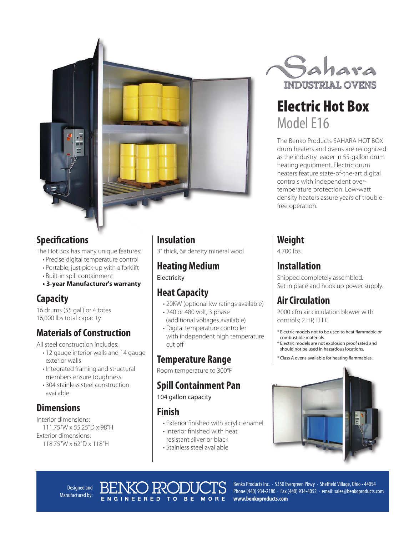



#### **Specifications**

The Hot Box has many unique features:

- Precise digital temperature control
- Portable; just pick-up with a forklift
- Built-in spill containment
- **3-year Manufacturer's warranty**

#### **Capacity**

16 drums (55 gal.) or 4 totes 16,000 lbs total capacity

### **Materials of Construction**

All steel construction includes:

- 12 gauge interior walls and 14 gauge exterior walls
- Integrated framing and structural members ensure toughness
- 304 stainless steel construction available

#### **Dimensions**

Interior dimensions: 111.75"W x 55.25"D x 98"H Exterior dimensions: 118.75"W x 62"D x 118"H

#### **Insulation**

3" thick, 6# density mineral wool

#### **Heating Medium**

Electricity

#### **Heat Capacity**

- 20KW (optional kw ratings available)
- 240 or 480 volt, 3 phase (additional voltages available)
- Digital temperature controller with independent high temperature cut off

#### **Temperature Range**

Room temperature to 300°F

#### **Spill Containment Pan**

104 gallon capacity

#### **Finish**

NEERED TO BE

• Exterior finished with acrylic enamel

MORE

- Interior finished with heat resistant silver or black
- Stainless steel available



# Electric Hot Box Model E16

The Benko Products SAHARA HOT BOX drum heaters and ovens are recognized as the industry leader in 55-gallon drum heating equipment. Electric drum heaters feature state-of-the-art digital controls with independent overtemperature protection. Low-watt density heaters assure years of troublefree operation.

#### **Weight**

4,700 lbs.

### **Installation**

Shipped completely assembled. Set in place and hook up power supply.

### **Air Circulation**

2000 cfm air circulation blower with controls; 2 HP, TEFC

- \* Electric models not to be used to heat flammable or combustible materials.
- Electric models are not explosion proof rated and should not be used in hazardous locations.
- Class A ovens available for heating flammables.



Designed and Manufactured by: Benko Products Inc. · 5350 Evergreen Pkwy · Sheffield Village, Ohio • 44054 Phone (440) 934-2180 · Fax (440) 934-4052 · email: sales@benkoproducts.com **www.benkoproducts.com**